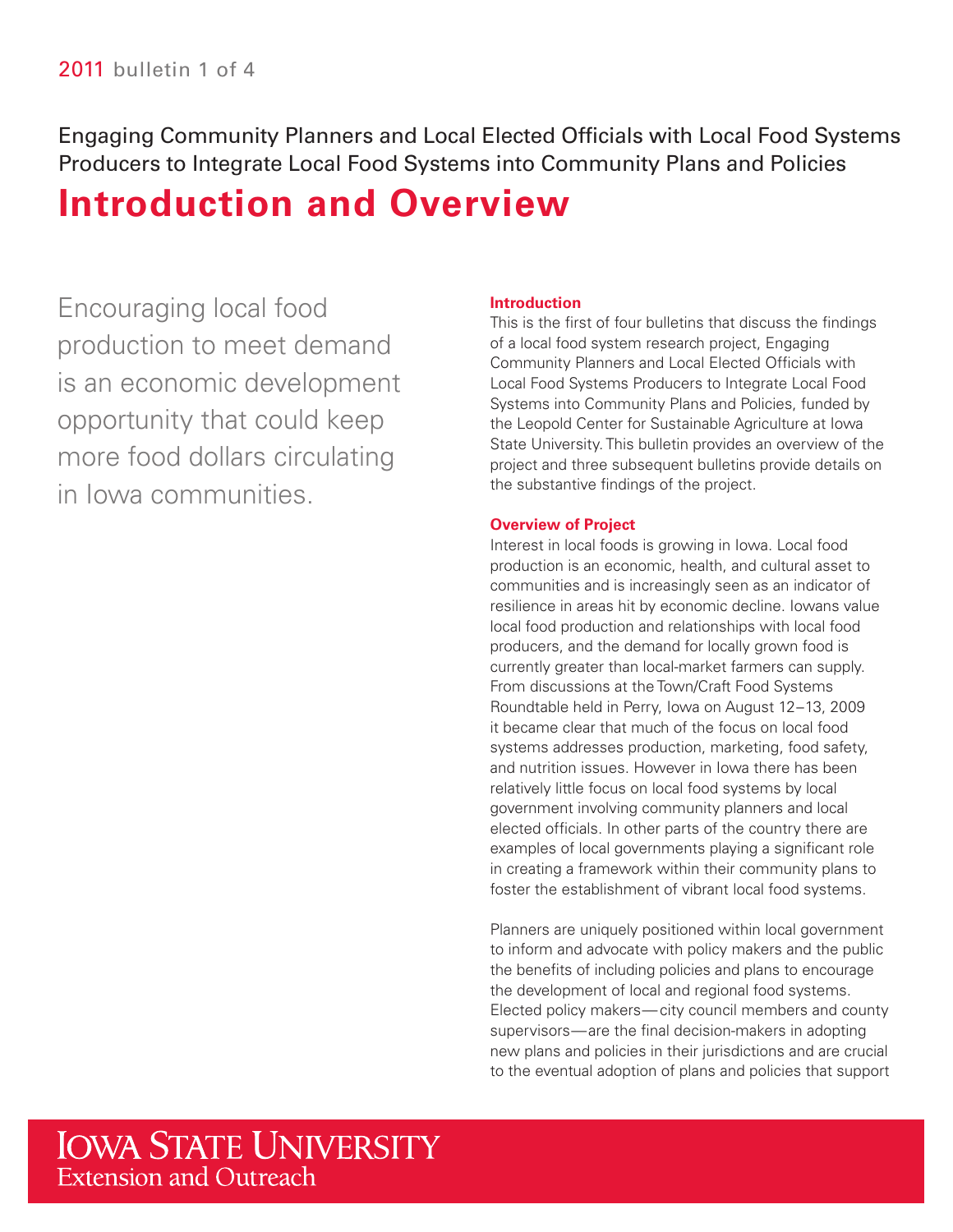Engaging Community Planners and Local Elected Officials with Local Food Systems Producers to Integrate Local Food Systems into Community Plans and Policies

# **Introduction and Overview**

Encouraging local food production to meet demand is an economic development opportunity that could keep more food dollars circulating in Iowa communities.

#### **Introduction**

This is the first of four bulletins that discuss the findings of a local food system research project, Engaging Community Planners and Local Elected Officials with Local Food Systems Producers to Integrate Local Food Systems into Community Plans and Policies, funded by the Leopold Center for Sustainable Agriculture at Iowa State University. This bulletin provides an overview of the project and three subsequent bulletins provide details on the substantive fndings of the project.

#### **Overview of Project**

Interest in local foods is growing in Iowa. Local food production is an economic, health, and cultural asset to communities and is increasingly seen as an indicator of resilience in areas hit by economic decline. Iowans value local food production and relationships with local food producers, and the demand for locally grown food is currently greater than local-market farmers can supply. From discussions at the Town/Craft Food Systems Roundtable held in Perry, Iowa on August 12–13, 2009 it became clear that much of the focus on local food systems addresses production, marketing, food safety, and nutrition issues. However in Iowa there has been relatively little focus on local food systems by local government involving community planners and local elected officials. In other parts of the country there are examples of local governments playing a significant role in creating a framework within their community plans to foster the establishment of vibrant local food systems.

the benefits of including policies and plans to encourage Planners are uniquely positioned within local government to inform and advocate with policy makers and the public the development of local and regional food systems. Elected policy makers— city council members and county supervisors—are the final decision-makers in adopting new plans and policies in their jurisdictions and are crucial to the eventual adoption of plans and policies that support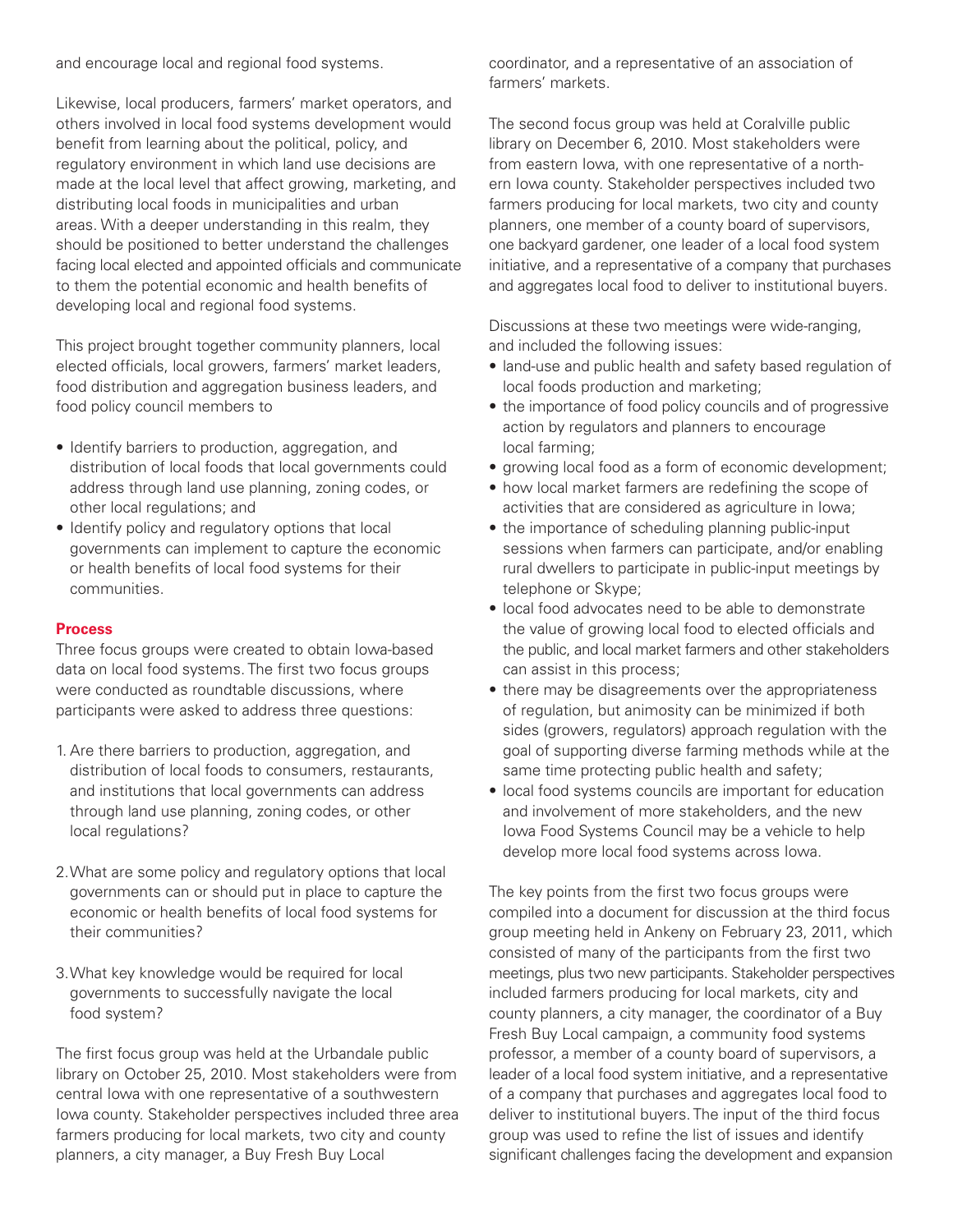and encourage local and regional food systems.

facing local elected and appointed officials and communicate Likewise, local producers, farmers' market operators, and others involved in local food systems development would benefit from learning about the political, policy, and regulatory environment in which land use decisions are made at the local level that affect growing, marketing, and distributing local foods in municipalities and urban areas. With a deeper understanding in this realm, they should be positioned to better understand the challenges to them the potential economic and health benefits of developing local and regional food systems.

 This project brought together community planners, local elected officials, local growers, farmers' market leaders, food distribution and aggregation business leaders, and food policy council members to

- Identify barriers to production, aggregation, and distribution of local foods that local governments could address through land use planning, zoning codes, or other local regulations; and
- Identify policy and regulatory options that local governments can implement to capture the economic or health benefits of local food systems for their communities.

#### **Process**

Three focus groups were created to obtain Iowa-based data on local food systems. The first two focus groups were conducted as roundtable discussions, where participants were asked to address three questions:

- 1. Are there barriers to production, aggregation, and distribution of local foods to consumers, restaurants, and institutions that local governments can address through land use planning, zoning codes, or other local regulations?
- What are some policy and regulatory options that local 2. governments can or should put in place to capture the economic or health benefits of local food systems for their communities?
- What key knowledge would be required for local 3. governments to successfully navigate the local food system?

The first focus group was held at the Urbandale public library on October 25, 2010. Most stakeholders were from central Iowa with one representative of a southwestern Iowa county. Stakeholder perspectives included three area farmers producing for local markets, two city and county planners, a city manager, a Buy Fresh Buy Local

coordinator, and a representative of an association of farmers' markets.

 planners, one member of a county board of supervisors, initiative, and a representative of a company that purchases The second focus group was held at Coralville public library on December 6, 2010. Most stakeholders were from eastern Iowa, with one representative of a northern Iowa county. Stakeholder perspectives included two farmers producing for local markets, two city and county one backyard gardener, one leader of a local food system and aggregates local food to deliver to institutional buyers.

 Discussions at these two meetings were wide-ranging, and included the following issues:

- • land-use and public health and safety based regulation of local foods production and marketing;
- • the importance of food policy councils and of progressive action by regulators and planners to encourage local farming;
- growing local food as a form of economic development;
- how local market farmers are redefining the scope of activities that are considered as agriculture in Iowa;
- the importance of scheduling planning public-input sessions when farmers can participate, and/or enabling rural dwellers to participate in public-input meetings by telephone or Skype;
- the value of growing local food to elected officials and • local food advocates need to be able to demonstrate the public, and local market farmers and other stakeholders can assist in this process;
- there may be disagreements over the appropriateness of regulation, but animosity can be minimized if both sides (growers, regulators) approach regulation with the goal of supporting diverse farming methods while at the same time protecting public health and safety;
- local food systems councils are important for education and involvement of more stakeholders, and the new Iowa Food Systems Council may be a vehicle to help develop more local food systems across Iowa.

 meetings, plus two new participants. Stakeholder perspectives leader of a local food system initiative, and a representative significant challenges facing the development and expansion The key points from the first two focus groups were compiled into a document for discussion at the third focus group meeting held in Ankeny on February 23, 2011, which consisted of many of the participants from the first two included farmers producing for local markets, city and county planners, a city manager, the coordinator of a Buy Fresh Buy Local campaign, a community food systems professor, a member of a county board of supervisors, a of a company that purchases and aggregates local food to deliver to institutional buyers. The input of the third focus group was used to refne the list of issues and identify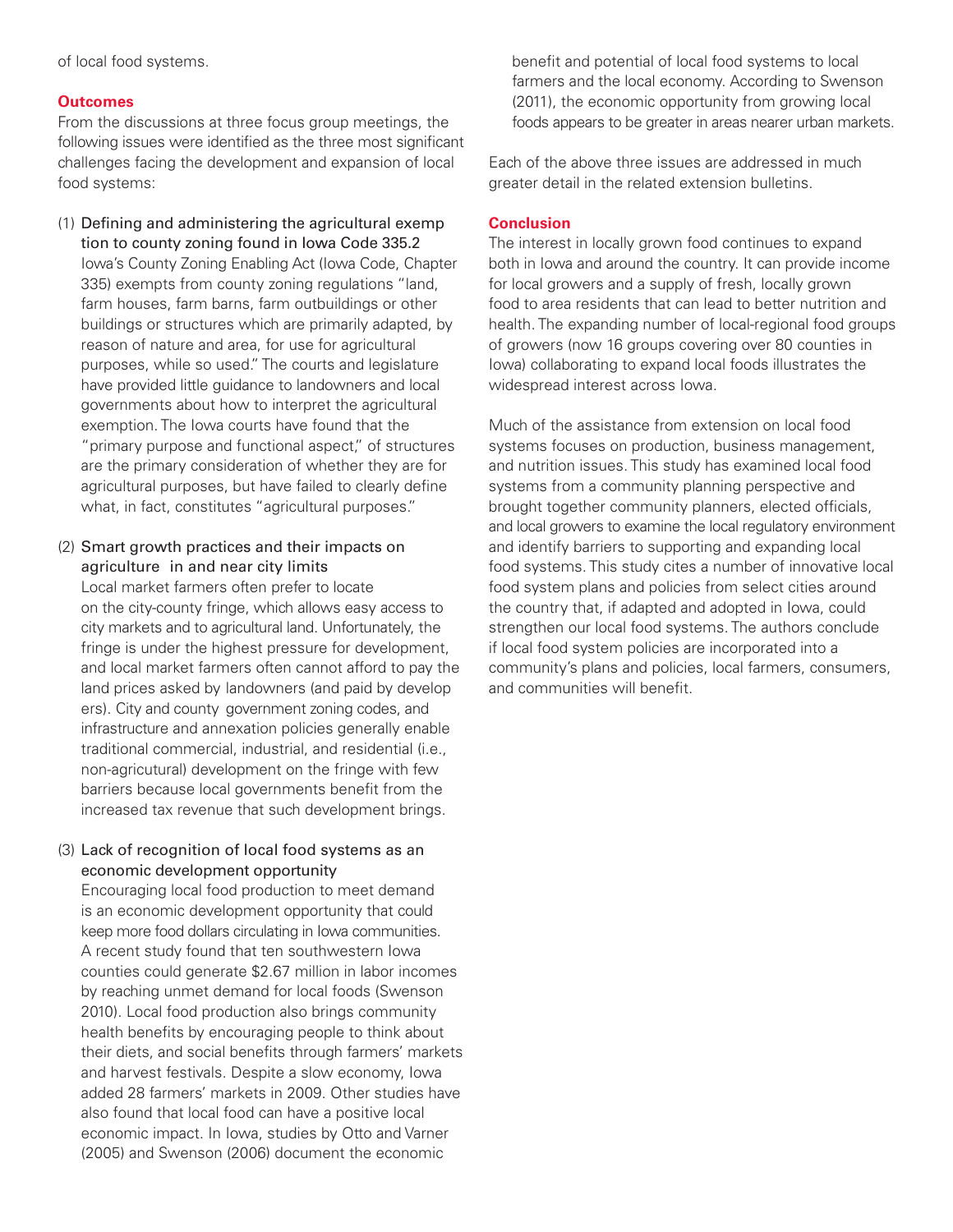of local food systems.

#### **Outcomes**

following issues were identified as the three most significant From the discussions at three focus group meetings, the challenges facing the development and expansion of local food systems:

- (1) Defining and administering the agricultural exemp tion to county zoning found in Iowa Code 335.2 Iowa's County Zoning Enabling Act (Iowa Code, Chapter 335) exempts from county zoning regulations "land, farm houses, farm barns, farm outbuildings or other buildings or structures which are primarily adapted, by reason of nature and area, for use for agricultural purposes, while so used." The courts and legislature have provided little guidance to landowners and local governments about how to interpret the agricultural exemption. The Iowa courts have found that the "primary purpose and functional aspect," of structures are the primary consideration of whether they are for agricultural purposes, but have failed to clearly define what, in fact, constitutes "agricultural purposes."
- (2) Smart growth practices and their impacts on agriculture in and near city limits

 Local market farmers often prefer to locate ers). City and county government zoning codes, and on the city-county fringe, which allows easy access to city markets and to agricultural land. Unfortunately, the fringe is under the highest pressure for development, and local market farmers often cannot afford to pay the land prices asked by landowners (and paid by develop infrastructure and annexation policies generally enable traditional commercial, industrial, and residential (i.e., non-agricutural) development on the fringe with few barriers because local governments benefit from the increased tax revenue that such development brings.

#### (3) Lack of recognition of local food systems as an economic development opportunity

 is an economic development opportunity that could Encouraging local food production to meet demand keep more food dollars circulating in Iowa communities. A recent study found that ten southwestern Iowa counties could generate \$2.67 million in labor incomes by reaching unmet demand for local foods (Swenson 2010). Local food production also brings community health benefits by encouraging people to think about their diets, and social benefits through farmers' markets and harvest festivals. Despite a slow economy, Iowa added 28 farmers' markets in 2009. Other studies have also found that local food can have a positive local economic impact. In Iowa, studies by Otto and Varner (2005) and Swenson (2006) document the economic

benefit and potential of local food systems to local farmers and the local economy. According to Swenson (2011), the economic opportunity from growing local foods appears to be greater in areas nearer urban markets.

Each of the above three issues are addressed in much greater detail in the related extension bulletins.

#### **Conclusion**

 both in Iowa and around the country. It can provide income The interest in locally grown food continues to expand for local growers and a supply of fresh, locally grown food to area residents that can lead to better nutrition and health. The expanding number of local-regional food groups of growers (now 16 groups covering over 80 counties in Iowa) collaborating to expand local foods illustrates the widespread interest across Iowa.

 and local growers to examine the local regulatory environment Much of the assistance from extension on local food systems focuses on production, business management, and nutrition issues. This study has examined local food systems from a community planning perspective and brought together community planners, elected officials, and identify barriers to supporting and expanding local food systems. This study cites a number of innovative local food system plans and policies from select cities around the country that, if adapted and adopted in Iowa, could strengthen our local food systems. The authors conclude if local food system policies are incorporated into a community's plans and policies, local farmers, consumers, and communities will benefit.